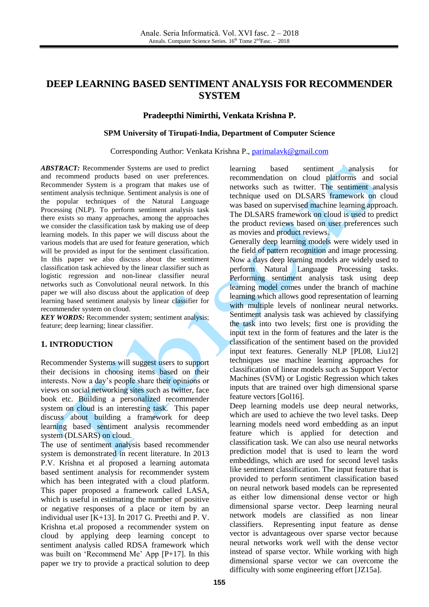# **DEEP LEARNING BASED SENTIMENT ANALYSIS FOR RECOMMENDER SYSTEM**

### **Pradeepthi Nimirthi, Venkata Krishna P.**

#### **SPM University of Tirupati-India, Department of Computer Science**

Corresponding Author: Venkata Krishna P., [parimalavk@gmail.com](mailto:parimalavk@gmail.com)

*ABSTRACT:* Recommender Systems are used to predict and recommend products based on user preferences. Recommender System is a program that makes use of sentiment analysis technique. Sentiment analysis is one of the popular techniques of the Natural Language Processing (NLP). To perform sentiment analysis task there exists so many approaches, among the approaches we consider the classification task by making use of deep learning models. In this paper we will discuss about the various models that are used for feature generation, which will be provided as input for the sentiment classification. In this paper we also discuss about the sentiment classification task achieved by the linear classifier such as logistic regression and non-linear classifier neural networks such as Convolutional neural network. In this paper we will also discuss about the application of deep learning based sentiment analysis by linear classifier for recommender system on cloud.

**KEY WORDS:** Recommender system; sentiment analysis; feature; deep learning; linear classifier.

#### **1. INTRODUCTION**

Recommender Systems will suggest users to support their decisions in choosing items based on their interests. Now a day's people share their opinions or views on social networking sites such as twitter, face book etc. Building a personalized recommender system on cloud is an interesting task. This paper discuss about building a framework for deep learning based sentiment analysis recommender system (DLSARS) on cloud.

The use of sentiment analysis based recommender system is demonstrated in recent literature. In 2013 P.V. Krishna et al proposed a learning automata based sentiment analysis for recommender system which has been integrated with a cloud platform. This paper proposed a framework called LASA, which is useful in estimating the number of positive or negative responses of a place or item by an individual user [K+13]. In 2017 G. Preethi and P. V. Krishna et.al proposed a recommender system on cloud by applying deep learning concept to sentiment analysis called RDSA framework which was built on 'Recommend Me' App [P+17]. In this paper we try to provide a practical solution to deep learning based sentiment analysis for recommendation on cloud platforms and social networks such as twitter. The sentiment analysis technique used on DLSARS framework on cloud was based on supervised machine learning approach. The DLSARS framework on cloud is used to predict the product reviews based on user preferences such as movies and product reviews.

Generally deep learning models were widely used in the field of pattern recognition and image processing. Now a days deep learning models are widely used to perform Natural Language Processing tasks. Performing sentiment analysis task using deep learning model comes under the branch of machine learning which allows good representation of learning with multiple levels of nonlinear neural networks. Sentiment analysis task was achieved by classifying the task into two levels; first one is providing the input text in the form of features and the later is the classification of the sentiment based on the provided input text features. Generally NLP [PL08, Liu12] techniques use machine learning approaches for classification of linear models such as Support Vector Machines (SVM) or Logistic Regression which takes inputs that are trained over high dimensional sparse feature vectors [Gol16].

Deep learning models use deep neural networks, which are used to achieve the two level tasks. Deep learning models need word embedding as an input feature which is applied for detection and classification task. We can also use neural networks prediction model that is used to learn the word embeddings, which are used for second level tasks like sentiment classification. The input feature that is provided to perform sentiment classification based on neural network based models can be represented as either low dimensional dense vector or high dimensional sparse vector. Deep learning neural network models are classified as non linear classifiers. Representing input feature as dense vector is advantageous over sparse vector because neural networks work well with the dense vector instead of sparse vector. While working with high dimensional sparse vector we can overcome the difficulty with some engineering effort [JZ15a].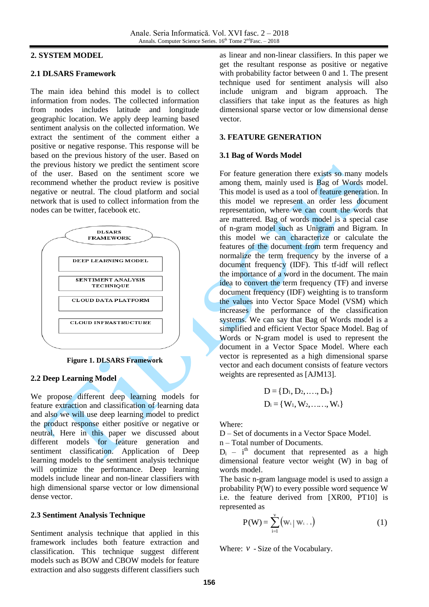### **2. SYSTEM MODEL**

#### **2.1 DLSARS Framework**

The main idea behind this model is to collect information from nodes. The collected information from nodes includes latitude and longitude geographic location. We apply deep learning based sentiment analysis on the collected information. We extract the sentiment of the comment either a positive or negative response. This response will be based on the previous history of the user. Based on the previous history we predict the sentiment score of the user. Based on the sentiment score we recommend whether the product review is positive negative or neutral. The cloud platform and social network that is used to collect information from the nodes can be twitter, facebook etc.



**Figure 1. DLSARS Framework**

#### **2.2 Deep Learning Model**

We propose different deep learning models for feature extraction and classification of learning data and also we will use deep learning model to predict the product response either positive or negative or neutral. Here in this paper we discussed about different models for feature generation and sentiment classification. Application of Deep learning models to the sentiment analysis technique will optimize the performance. Deep learning models include linear and non-linear classifiers with high dimensional sparse vector or low dimensional dense vector.

#### **2.3 Sentiment Analysis Technique**

Sentiment analysis technique that applied in this framework includes both feature extraction and classification. This technique suggest different models such as BOW and CBOW models for feature extraction and also suggests different classifiers such

as linear and non-linear classifiers. In this paper we get the resultant response as positive or negative with probability factor between 0 and 1. The present technique used for sentiment analysis will also include unigram and bigram approach. The classifiers that take input as the features as high dimensional sparse vector or low dimensional dense vector.

#### **3. FEATURE GENERATION**

#### **3.1 Bag of Words Model**

For feature generation there exists so many models among them, mainly used is Bag of Words model. This model is used as a tool of feature generation. In this model we represent an order less document representation, where we can count the words that are mattered. Bag of words model is a special case of n-gram model such as Unigram and Bigram. In this model we can characterize or calculate the features of the document from term frequency and normalize the term frequency by the inverse of a document frequency (IDF). This tf-idf will reflect the importance of a word in the document. The main idea to convert the term frequency (TF) and inverse document frequency (IDF) weighting is to transform the values into Vector Space Model (VSM) which increases the performance of the classification systems. We can say that Bag of Words model is a simplified and efficient Vector Space Model. Bag of Words or N-gram model is used to represent the document in a Vector Space Model. Where each vector is represented as a high dimensional sparse vector and each document consists of feature vectors weights are represented as [AJM13].

$$
D = \{D_1, D_2, \ldots, D_n\}
$$
  

$$
D_i = \{W_1, W_2, \ldots, W_k\}
$$

Where:

D – Set of documents in a Vector Space Model.

n – Total number of Documents.

 $D_i$  – i<sup>th</sup> document that represented as a high dimensional feature vector weight (W) in bag of words model.

The basic n-gram language model is used to assign a probability P(W) to every possible word sequence W i.e. the feature derived from [XR00, PT10] is represented as

$$
P(W) = \sum_{i=1}^{v} (w_i \mid w_{i-1})
$$
 (1)

Where: *v* - Size of the Vocabulary.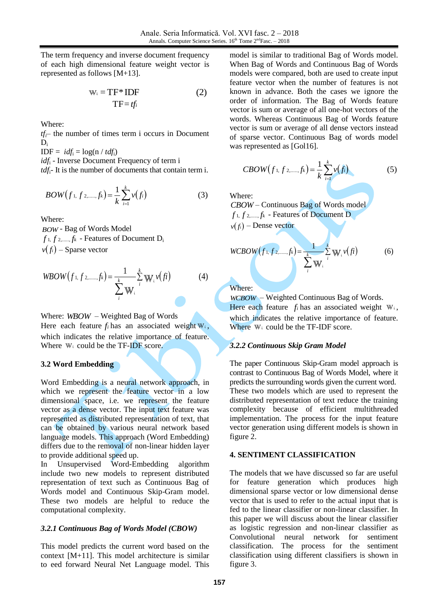The term frequency and inverse document frequency of each high dimensional feature weight vector is represented as follows [M+13].

$$
W_i = TF^* IDF
$$
  
TF = tfi (2)

Where:

 $tf$ <sup> $\leftarrow$ </sup> the number of times term i occurs in Document  $D_i$ 

 $IDF = idf_i = log(n / tdf_i)$ 

*idf*<sup>i</sup> - Inverse Document Frequency of term i

*tdf*i- It is the number of documents that contain term i.

$$
BOW(f_{1}, f_{2,......,f_{k}}) = \frac{1}{k} \sum_{i=1}^{k} v(f_{i})
$$
 (3)

Where:

*BOW* - Bag of Words Model  $f_1, f_2, \ldots, f_k$  - Features of Document D<sub>i</sub>  $v(f_i)$  – Sparse vector

$$
WBOW(f_{1}, f_{2,......,f_{k}}) = \frac{1}{\sum_{i}^{k} W_{i}} \sum_{i}^{k} W_{i} \nu(f_{i})
$$
(4)

Where: *WBOW* – Weighted Bag of Words Here each feature  $f_i$  has an associated weight  $W_i$ , which indicates the relative importance of feature. Where  $W_i$  could be the TF-IDF score.

#### **3.2 Word Embedding**

Word Embedding is a neural network approach, in which we represent the feature vector in a low dimensional space, i.e. we represent the feature vector as a dense vector. The input text feature was represented as distributed representation of text, that can be obtained by various neural network based language models. This approach (Word Embedding) differs due to the removal of non-linear hidden layer to provide additional speed up.

In Unsupervised Word-Embedding algorithm include two new models to represent distributed representation of text such as Continuous Bag of Words model and Continuous Skip-Gram model. These two models are helpful to reduce the computational complexity.

## *3.2.1 Continuous Bag of Words Model (CBOW)*

This model predicts the current word based on the context [M+11]. This model architecture is similar to eed forward Neural Net Language model. This model is similar to traditional Bag of Words model. When Bag of Words and Continuous Bag of Words models were compared, both are used to create input feature vector when the number of features is not known in advance. Both the cases we ignore the order of information. The Bag of Words feature vector is sum or average of all one-hot vectors of the words. Whereas Continuous Bag of Words feature vector is sum or average of all dense vectors instead of sparse vector. Continuous Bag of words model was represented as [Gol16].

$$
CBOW(f_{1}, f_{2, \dots, f_{k}}) = \frac{1}{k} \sum_{i=1}^{k} v(f_{i})
$$
 (5)

Where:

*CBOW* – Continuous Bag of Words model *f* 1, *f* 2,....., *f<sup>k</sup>* - Features of Document D  $v(f_i)$  – Dense vector

WCBOW
$$
(f_1, f_2, \dots, f_k) = \frac{1}{\sum_{i=1}^{k} W_i} \sum_{i=1}^{k} W_i v(f_i)
$$
 (6)

Where:

*WCBOW* – Weighted Continuous Bag of Words. Here each feature  $f_i$  has an associated weight  $W_i$ , which indicates the relative importance of feature. Where  $W_i$  could be the TF-IDF score.

## *3.2.2 Continuous Skip Gram Model*

The paper Continuous Skip-Gram model approach is contrast to Continuous Bag of Words Model, where it predicts the surrounding words given the current word. These two models which are used to represent the distributed representation of text reduce the training complexity because of efficient multithreaded implementation. The process for the input feature vector generation using different models is shown in figure 2.

## **4. SENTIMENT CLASSIFICATION**

The models that we have discussed so far are useful for feature generation which produces high dimensional sparse vector or low dimensional dense vector that is used to refer to the actual input that is fed to the linear classifier or non-linear classifier. In this paper we will discuss about the linear classifier as logistic regression and non-linear classifier as Convolutional neural network for sentiment classification. The process for the sentiment classification using different classifiers is shown in figure 3.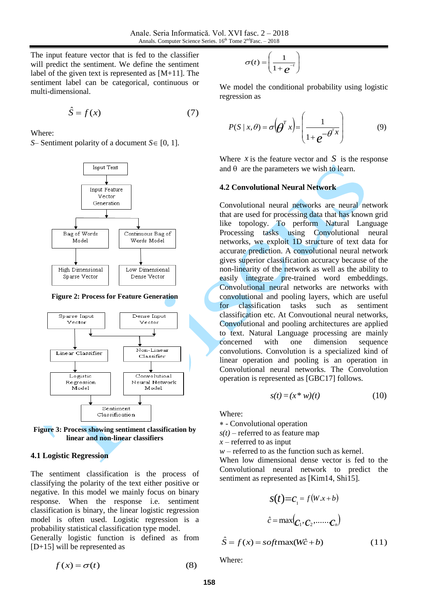The input feature vector that is fed to the classifier will predict the sentiment. We define the sentiment label of the given text is represented as [M+11]. The sentiment label can be categorical, continuous or multi-dimensional.

$$
\hat{S} = f(x) \tag{7}
$$

Where:

*S*– Sentiment polarity of a document  $S \in [0, 1]$ .



**Figure 2: Process for Feature Generation**



**Figure 3: Process showing sentiment classification by linear and non-linear classifiers**

#### **4.1 Logistic Regression**

The sentiment classification is the process of classifying the polarity of the text either positive or negative. In this model we mainly focus on binary response. When the response i.e. sentiment classification is binary, the linear logistic regression model is often used. Logistic regression is a probability statistical classification type model. Generally logistic function is defined as from [D+15] will be represented as

$$
\sigma(t) = \left(\frac{1}{1+e^{-t}}\right)
$$

We model the conditional probability using logistic regression as

$$
P(S \mid x, \theta) = \sigma \left(\theta^T x\right) = \left(\frac{1}{1 + e^{-\theta^T x}}\right) \tag{9}
$$

Where  $x$  is the feature vector and  $S$  is the response and  $\theta$  are the parameters we wish to learn.

#### **4.2 Convolutional Neural Network**

Convolutional neural networks are neural network that are used for processing data that has known grid like topology. To perform Natural Language Processing tasks using Convolutional neural networks, we exploit 1D structure of text data for accurate prediction. A convolutional neural network gives superior classification accuracy because of the non-linearity of the network as well as the ability to easily integrate pre-trained word embeddings. Convolutional neural networks are networks with convolutional and pooling layers, which are useful for classification tasks such as sentiment classification etc. At Convoutional neural networks, Convolutional and pooling architectures are applied to text. Natural Language processing are mainly concerned with one dimension sequence convolutions. Convolution is a specialized kind of linear operation and pooling is an operation in Convolutional neural networks. The Convolution operation is represented as [GBC17] follows.

$$
s(t) = (x * w)(t) \tag{10}
$$

Where:

- Convolutional operation

 $s(t)$  – referred to as feature map

*x* – referred to as input

 $w$  – referred to as the function such as kernel.

When low dimensional dense vector is fed to the Convolutional neural network to predict the sentiment as represented as [Kim14, Shi15].

$$
S(t)=C_1 = f(W.x+b)
$$

$$
\hat{c} = \max(C_1, C_2, \dots, C_n)
$$

$$
\hat{S} = f(x) = softmax(W\hat{c} + b)
$$
(11)

$$
f(x) = \frac{1}{2} \int \frac{1}{2} \, dx
$$

Where:

 $f(x) = \sigma(t)$  (8)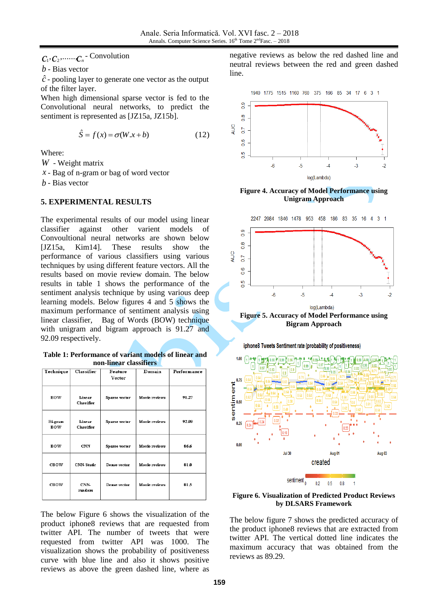## $\mathcal{C}_1, \mathcal{C}_2, \dots \mathcal{C}_n$  - Convolution

$$
\hat{S} = f(x) = \sigma(W \cdot x + b) \tag{12}
$$

#### **5. EXPERIMENTAL RESULTS**

**Table 1: Performance of variant models of linear and non-linear classifiers**

|                   |                      | $\hat{S} = f(x) = \sigma(W \cdot x + b)$           |                                           | (12)                                                                                                  |
|-------------------|----------------------|----------------------------------------------------|-------------------------------------------|-------------------------------------------------------------------------------------------------------|
| Where:            |                      |                                                    |                                           |                                                                                                       |
|                   | $W$ - Weight matrix  |                                                    | $x$ - Bag of n-gram or bag of word vector |                                                                                                       |
| $b$ - Bias vector |                      |                                                    |                                           |                                                                                                       |
|                   |                      | 5. EXPERIMENTAL RESULTS                            |                                           |                                                                                                       |
|                   |                      |                                                    |                                           | The experimental results of our model using linear                                                    |
|                   |                      |                                                    | classifier against other varient models   | of                                                                                                    |
|                   |                      |                                                    | $[JZ15a,$ Kim14]. These results           | Convoultional neural networks are shown below<br>show the                                             |
|                   |                      |                                                    |                                           | performance of various classifiers using various                                                      |
|                   |                      |                                                    |                                           | techniques by using different feature vectors. All the                                                |
|                   |                      | results based on movie review domain. The below    |                                           |                                                                                                       |
|                   |                      |                                                    |                                           |                                                                                                       |
|                   |                      |                                                    |                                           | results in table 1 shows the performance of the<br>sentiment analysis technique by using various deep |
|                   |                      |                                                    |                                           | learning models. Below figures 4 and 5 shows the                                                      |
|                   |                      |                                                    |                                           | maximum performance of sentiment analysis using                                                       |
|                   |                      |                                                    |                                           | linear classifier, Bag of Words (BOW) technique<br>with unigram and bigram approach is 91.27 and      |
|                   | 92.09 respectively.  |                                                    |                                           |                                                                                                       |
|                   |                      |                                                    |                                           | Table 1: Performance of variant models of linear and                                                  |
|                   | Classifier           | non-linear classifiers<br><b>Feature</b><br>Vector | Domain                                    | Performance                                                                                           |
| BOW               | Linear<br>Classifier | Sparse vector                                      | Movie reviews                             | 91.27                                                                                                 |
| Bi-gram<br>BOW    | Linear<br>Classifier | Sparse vector                                      | Movie reviews                             | 92.09                                                                                                 |
| Technique<br>BOW  | <b>CNN</b>           | Sparse vector                                      | Movie reviews                             | 86.6                                                                                                  |
| <b>CBOW</b>       | <b>CNN-Static</b>    | Dense vector                                       | Movie reviews                             | 81.0                                                                                                  |

negative reviews as below the red dashed line and neutral reviews between the red and green dashed line.





**Figure 4. Accuracy of Model Performance using Unigram Approach**



**Bigram Approach**



**Figure 6. Visualization of Predicted Product Reviews by DLSARS Framework**

The below figure 7 shows the predicted accuracy of the product iphone8 reviews that are extracted from twitter API. The vertical dotted line indicates the maximum accuracy that was obtained from the reviews as 89.29.